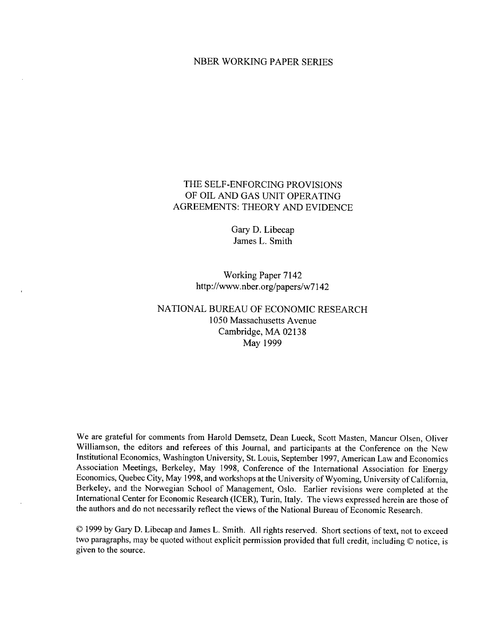# **NBER WORKING PAPER SERIES**

# THE SELF-ENFORCING PROVISIONS OF OIL AND GAS UNIT OPERATING **AGREEMENTS: THEORY AND EVIDENCE**

Gary D. Libecap James L. Smith

Working Paper 7142 http://www.nber.org/papers/w7142

NATIONAL BUREAU OF ECONOMIC RESEARCH 1050 Massachusetts Avenue Cambridge, MA 02138 May 1999

We are grateful for comments from Harold Demsetz, Dean Lueck, Scott Masten, Mancur Olsen, Oliver Williamson, the editors and referees of this Journal, and participants at the Conference on the New Institutional Economics, Washington University, St. Louis, September 1997, American Law and Economics Association Meetings, Berkeley, May 1998, Conference of the International Association for Energy Economics, Quebec City, May 1998, and workshops at the University of Wyoming, University of California, Berkeley, and the Norwegian School of Management, Oslo. Earlier revisions were completed at the International Center for Economic Research (ICER), Turin, Italy. The views expressed herein are those of the authors and do not necessarily reflect the views of the National Bureau of Economic Research.

© 1999 by Gary D. Libecap and James L. Smith. All rights reserved. Short sections of text, not to exceed two paragraphs, may be quoted without explicit permission provided that full credit, including © notice, is given to the source.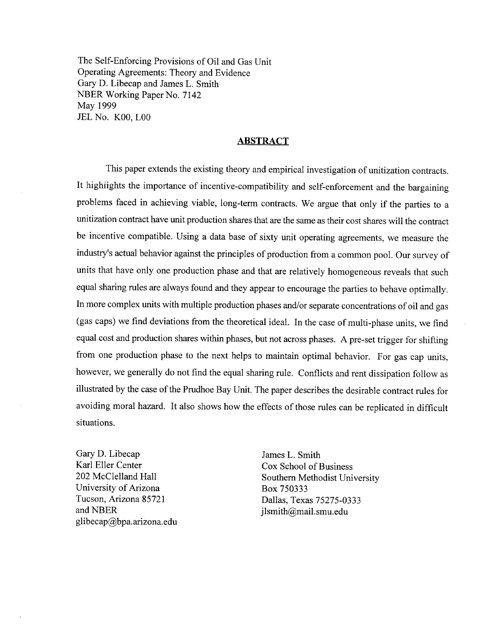The Self-Enforcing Provisions of Oil and Gas Unit Operating Agreements: Theory and Evidence Gary D. Libecap and James L. Smith NBER Working Paper No. 7142 May 1999 JEL No. K00, L00

# **ABSTRACT**

This paper extends the existing theory and empirical investigation of unitization contracts. It highlights the importance of incentive-compatibility and self-enforcement and the bargaining problems faced in achieving viable, long-term contracts. We argue that only if the parties to a unitization contract have unit production shares that are the same as their cost shares will the contract be incentive compatible. Using a data base of sixty unit operating agreements, we measure the industry's actual behavior against the principles of production from a common pool. Our survey of units that have only one production phase and that are relatively homogeneous reveals that such equal sharing rules are always found and they appear to encourage the parties to behave optimally. In more complex units with multiple production phases and/or separate concentrations of oil and gas (gas caps) we find deviations from the theoretical ideal. In the case of multi-phase units, we find equal cost and production shares within phases, but not across phases. A pre-set trigger for shifting from one production phase to the next helps to maintain optimal behavior. For gas cap units, however, we generally do not find the equal sharing rule. Conflicts and rent dissipation follow as illustrated by the case of the Prudhoe Bay Unit. The paper describes the desirable contract rules for avoiding moral hazard. It also shows how the effects of those rules can be replicated in difficult situations.

Gary D. Libecap Karl Eller Center 202 McClelland Hall University of Arizona Tucson, Arizona 85721 and NBER glibecap@bpa.arizona.edu

James L. Smith Cox School of Business Southern Methodist University Box 750333 Dallas, Texas 75275-0333 jlsmith@mail.smu.edu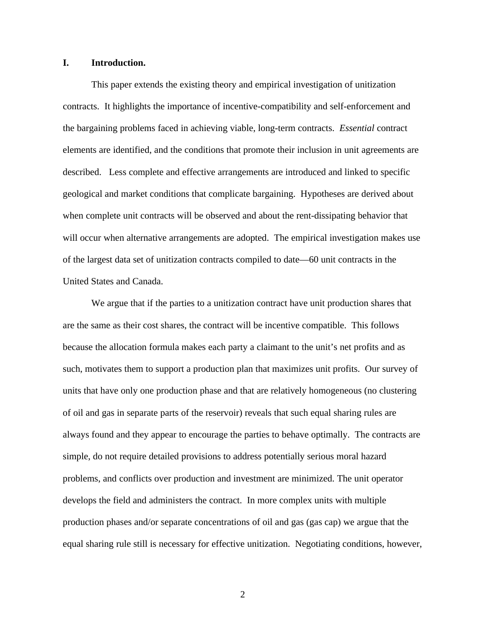# **I. Introduction.**

This paper extends the existing theory and empirical investigation of unitization contracts. It highlights the importance of incentive-compatibility and self-enforcement and the bargaining problems faced in achieving viable, long-term contracts. *Essential* contract elements are identified, and the conditions that promote their inclusion in unit agreements are described. Less complete and effective arrangements are introduced and linked to specific geological and market conditions that complicate bargaining. Hypotheses are derived about when complete unit contracts will be observed and about the rent-dissipating behavior that will occur when alternative arrangements are adopted. The empirical investigation makes use of the largest data set of unitization contracts compiled to date—60 unit contracts in the United States and Canada.

We argue that if the parties to a unitization contract have unit production shares that are the same as their cost shares, the contract will be incentive compatible. This follows because the allocation formula makes each party a claimant to the unit's net profits and as such, motivates them to support a production plan that maximizes unit profits. Our survey of units that have only one production phase and that are relatively homogeneous (no clustering of oil and gas in separate parts of the reservoir) reveals that such equal sharing rules are always found and they appear to encourage the parties to behave optimally. The contracts are simple, do not require detailed provisions to address potentially serious moral hazard problems, and conflicts over production and investment are minimized. The unit operator develops the field and administers the contract. In more complex units with multiple production phases and/or separate concentrations of oil and gas (gas cap) we argue that the equal sharing rule still is necessary for effective unitization. Negotiating conditions, however,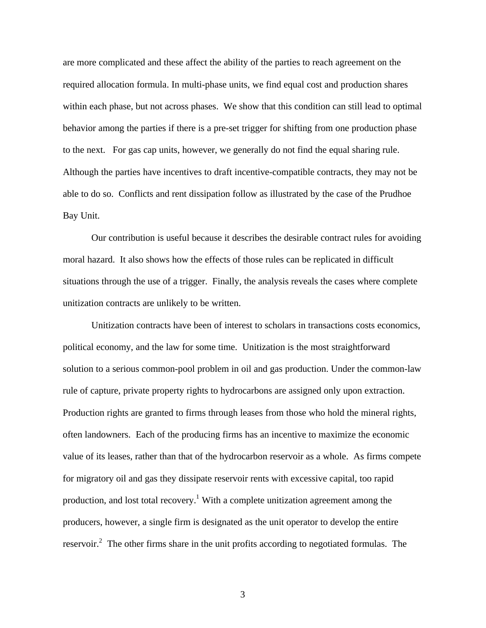are more complicated and these affect the ability of the parties to reach agreement on the required allocation formula. In multi-phase units, we find equal cost and production shares within each phase, but not across phases. We show that this condition can still lead to optimal behavior among the parties if there is a pre-set trigger for shifting from one production phase to the next. For gas cap units, however, we generally do not find the equal sharing rule. Although the parties have incentives to draft incentive-compatible contracts, they may not be able to do so. Conflicts and rent dissipation follow as illustrated by the case of the Prudhoe Bay Unit.

Our contribution is useful because it describes the desirable contract rules for avoiding moral hazard. It also shows how the effects of those rules can be replicated in difficult situations through the use of a trigger. Finally, the analysis reveals the cases where complete unitization contracts are unlikely to be written.

Unitization contracts have been of interest to scholars in transactions costs economics, political economy, and the law for some time. Unitization is the most straightforward solution to a serious common-pool problem in oil and gas production. Under the common-law rule of capture, private property rights to hydrocarbons are assigned only upon extraction. Production rights are granted to firms through leases from those who hold the mineral rights, often landowners. Each of the producing firms has an incentive to maximize the economic value of its leases, rather than that of the hydrocarbon reservoir as a whole. As firms compete for migratory oil and gas they dissipate reservoir rents with excessive capital, too rapid production, and lost total recovery.<sup>1</sup> With a complete unitization agreement among the producers, however, a single firm is designated as the unit operator to develop the entire reservoir.<sup>2</sup> The other firms share in the unit profits according to negotiated formulas. The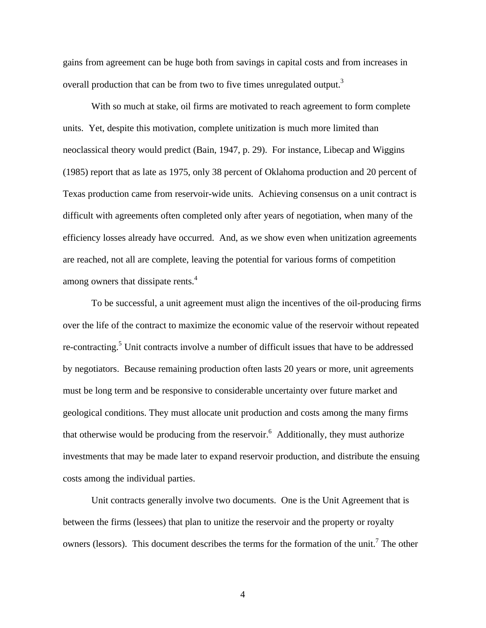gains from agreement can be huge both from savings in capital costs and from increases in overall production that can be from two to five times unregulated output.<sup>3</sup>

With so much at stake, oil firms are motivated to reach agreement to form complete units. Yet, despite this motivation, complete unitization is much more limited than neoclassical theory would predict (Bain, 1947, p. 29). For instance, Libecap and Wiggins (1985) report that as late as 1975, only 38 percent of Oklahoma production and 20 percent of Texas production came from reservoir-wide units. Achieving consensus on a unit contract is difficult with agreements often completed only after years of negotiation, when many of the efficiency losses already have occurred. And, as we show even when unitization agreements are reached, not all are complete, leaving the potential for various forms of competition among owners that dissipate rents.<sup>4</sup>

To be successful, a unit agreement must align the incentives of the oil-producing firms over the life of the contract to maximize the economic value of the reservoir without repeated re-contracting.<sup>5</sup> Unit contracts involve a number of difficult issues that have to be addressed by negotiators. Because remaining production often lasts 20 years or more, unit agreements must be long term and be responsive to considerable uncertainty over future market and geological conditions. They must allocate unit production and costs among the many firms that otherwise would be producing from the reservoir.<sup>6</sup> Additionally, they must authorize investments that may be made later to expand reservoir production, and distribute the ensuing costs among the individual parties.

Unit contracts generally involve two documents. One is the Unit Agreement that is between the firms (lessees) that plan to unitize the reservoir and the property or royalty owners (lessors). This document describes the terms for the formation of the unit.<sup>7</sup> The other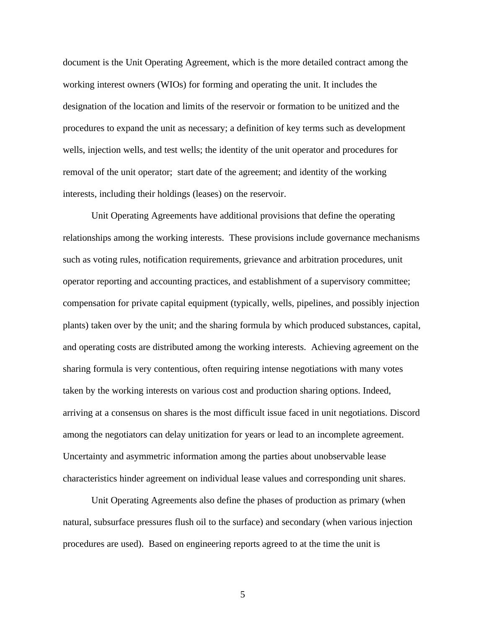document is the Unit Operating Agreement, which is the more detailed contract among the working interest owners (WIOs) for forming and operating the unit. It includes the designation of the location and limits of the reservoir or formation to be unitized and the procedures to expand the unit as necessary; a definition of key terms such as development wells, injection wells, and test wells; the identity of the unit operator and procedures for removal of the unit operator; start date of the agreement; and identity of the working interests, including their holdings (leases) on the reservoir.

Unit Operating Agreements have additional provisions that define the operating relationships among the working interests. These provisions include governance mechanisms such as voting rules, notification requirements, grievance and arbitration procedures, unit operator reporting and accounting practices, and establishment of a supervisory committee; compensation for private capital equipment (typically, wells, pipelines, and possibly injection plants) taken over by the unit; and the sharing formula by which produced substances, capital, and operating costs are distributed among the working interests. Achieving agreement on the sharing formula is very contentious, often requiring intense negotiations with many votes taken by the working interests on various cost and production sharing options. Indeed, arriving at a consensus on shares is the most difficult issue faced in unit negotiations. Discord among the negotiators can delay unitization for years or lead to an incomplete agreement. Uncertainty and asymmetric information among the parties about unobservable lease characteristics hinder agreement on individual lease values and corresponding unit shares.

Unit Operating Agreements also define the phases of production as primary (when natural, subsurface pressures flush oil to the surface) and secondary (when various injection procedures are used). Based on engineering reports agreed to at the time the unit is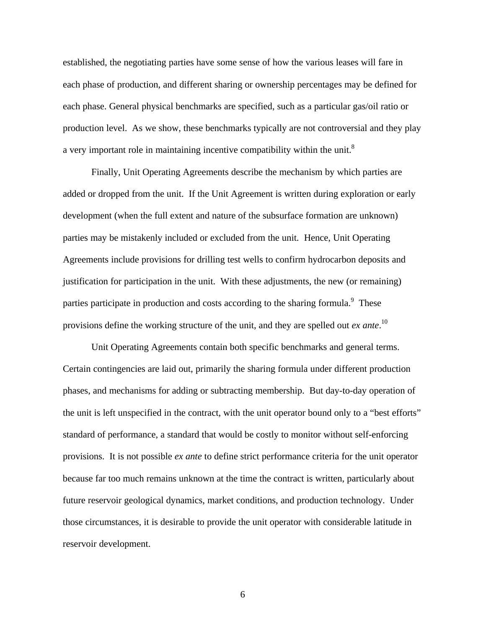established, the negotiating parties have some sense of how the various leases will fare in each phase of production, and different sharing or ownership percentages may be defined for each phase. General physical benchmarks are specified, such as a particular gas/oil ratio or production level. As we show, these benchmarks typically are not controversial and they play a very important role in maintaining incentive compatibility within the unit.<sup>8</sup>

Finally, Unit Operating Agreements describe the mechanism by which parties are added or dropped from the unit. If the Unit Agreement is written during exploration or early development (when the full extent and nature of the subsurface formation are unknown) parties may be mistakenly included or excluded from the unit. Hence, Unit Operating Agreements include provisions for drilling test wells to confirm hydrocarbon deposits and justification for participation in the unit. With these adjustments, the new (or remaining) parties participate in production and costs according to the sharing formula.<sup>9</sup> These provisions define the working structure of the unit, and they are spelled out *ex ante*. 10

Unit Operating Agreements contain both specific benchmarks and general terms. Certain contingencies are laid out, primarily the sharing formula under different production phases, and mechanisms for adding or subtracting membership. But day-to-day operation of the unit is left unspecified in the contract, with the unit operator bound only to a "best efforts" standard of performance, a standard that would be costly to monitor without self-enforcing provisions. It is not possible *ex ante* to define strict performance criteria for the unit operator because far too much remains unknown at the time the contract is written, particularly about future reservoir geological dynamics, market conditions, and production technology. Under those circumstances, it is desirable to provide the unit operator with considerable latitude in reservoir development.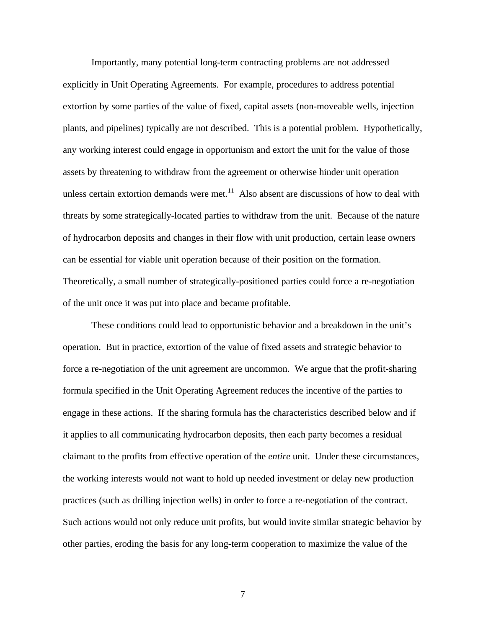Importantly, many potential long-term contracting problems are not addressed explicitly in Unit Operating Agreements. For example, procedures to address potential extortion by some parties of the value of fixed, capital assets (non-moveable wells, injection plants, and pipelines) typically are not described. This is a potential problem. Hypothetically, any working interest could engage in opportunism and extort the unit for the value of those assets by threatening to withdraw from the agreement or otherwise hinder unit operation unless certain extortion demands were met. $^{11}$  Also absent are discussions of how to deal with threats by some strategically-located parties to withdraw from the unit. Because of the nature of hydrocarbon deposits and changes in their flow with unit production, certain lease owners can be essential for viable unit operation because of their position on the formation. Theoretically, a small number of strategically-positioned parties could force a re-negotiation of the unit once it was put into place and became profitable.

These conditions could lead to opportunistic behavior and a breakdown in the unit's operation. But in practice, extortion of the value of fixed assets and strategic behavior to force a re-negotiation of the unit agreement are uncommon. We argue that the profit-sharing formula specified in the Unit Operating Agreement reduces the incentive of the parties to engage in these actions. If the sharing formula has the characteristics described below and if it applies to all communicating hydrocarbon deposits, then each party becomes a residual claimant to the profits from effective operation of the *entire* unit. Under these circumstances, the working interests would not want to hold up needed investment or delay new production practices (such as drilling injection wells) in order to force a re-negotiation of the contract. Such actions would not only reduce unit profits, but would invite similar strategic behavior by other parties, eroding the basis for any long-term cooperation to maximize the value of the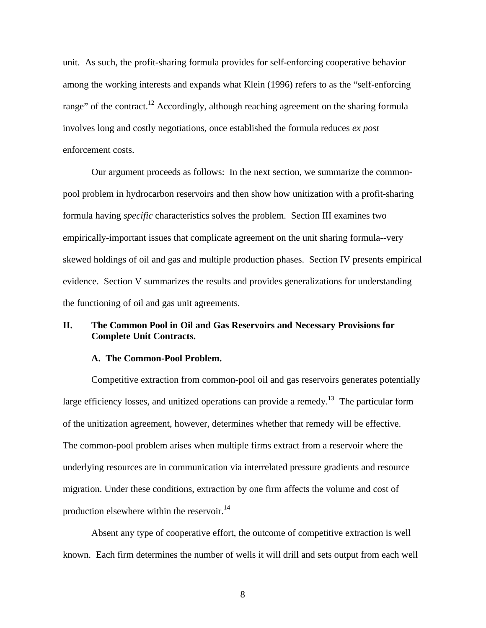unit. As such, the profit-sharing formula provides for self-enforcing cooperative behavior among the working interests and expands what Klein (1996) refers to as the "self-enforcing range" of the contract.<sup>12</sup> Accordingly, although reaching agreement on the sharing formula involves long and costly negotiations, once established the formula reduces *ex post* enforcement costs.

Our argument proceeds as follows: In the next section, we summarize the commonpool problem in hydrocarbon reservoirs and then show how unitization with a profit-sharing formula having *specific* characteristics solves the problem. Section III examines two empirically-important issues that complicate agreement on the unit sharing formula--very skewed holdings of oil and gas and multiple production phases. Section IV presents empirical evidence. Section V summarizes the results and provides generalizations for understanding the functioning of oil and gas unit agreements.

# **II. The Common Pool in Oil and Gas Reservoirs and Necessary Provisions for Complete Unit Contracts.**

## **A. The Common-Pool Problem.**

Competitive extraction from common-pool oil and gas reservoirs generates potentially large efficiency losses, and unitized operations can provide a remedy.<sup>13</sup> The particular form of the unitization agreement, however, determines whether that remedy will be effective. The common-pool problem arises when multiple firms extract from a reservoir where the underlying resources are in communication via interrelated pressure gradients and resource migration. Under these conditions, extraction by one firm affects the volume and cost of production elsewhere within the reservoir.<sup>14</sup>

Absent any type of cooperative effort, the outcome of competitive extraction is well known. Each firm determines the number of wells it will drill and sets output from each well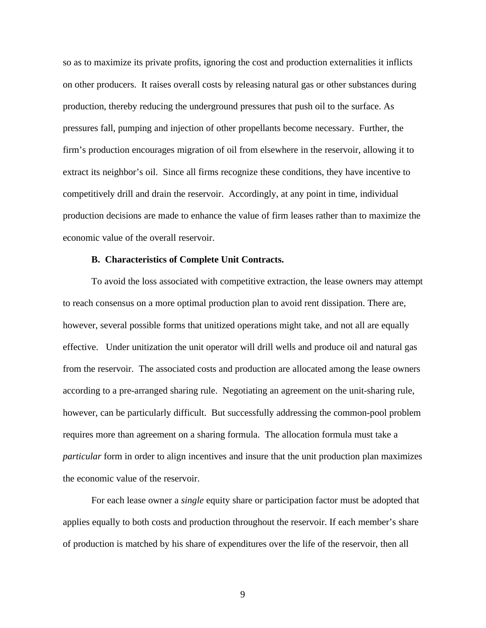so as to maximize its private profits, ignoring the cost and production externalities it inflicts on other producers. It raises overall costs by releasing natural gas or other substances during production, thereby reducing the underground pressures that push oil to the surface. As pressures fall, pumping and injection of other propellants become necessary. Further, the firm's production encourages migration of oil from elsewhere in the reservoir, allowing it to extract its neighbor's oil. Since all firms recognize these conditions, they have incentive to competitively drill and drain the reservoir. Accordingly, at any point in time, individual production decisions are made to enhance the value of firm leases rather than to maximize the economic value of the overall reservoir.

## **B. Characteristics of Complete Unit Contracts.**

To avoid the loss associated with competitive extraction, the lease owners may attempt to reach consensus on a more optimal production plan to avoid rent dissipation. There are, however, several possible forms that unitized operations might take, and not all are equally effective. Under unitization the unit operator will drill wells and produce oil and natural gas from the reservoir. The associated costs and production are allocated among the lease owners according to a pre-arranged sharing rule. Negotiating an agreement on the unit-sharing rule, however, can be particularly difficult. But successfully addressing the common-pool problem requires more than agreement on a sharing formula. The allocation formula must take a *particular* form in order to align incentives and insure that the unit production plan maximizes the economic value of the reservoir.

For each lease owner a *single* equity share or participation factor must be adopted that applies equally to both costs and production throughout the reservoir. If each member's share of production is matched by his share of expenditures over the life of the reservoir, then all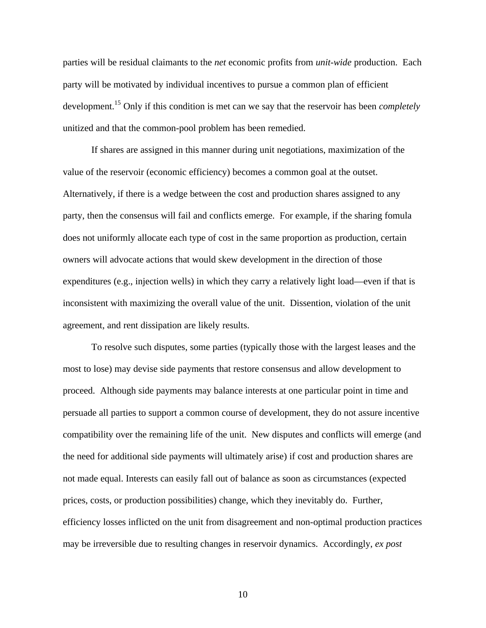parties will be residual claimants to the *net* economic profits from *unit-wide* production. Each party will be motivated by individual incentives to pursue a common plan of efficient development.<sup>15</sup> Only if this condition is met can we say that the reservoir has been *completely* unitized and that the common-pool problem has been remedied.

If shares are assigned in this manner during unit negotiations, maximization of the value of the reservoir (economic efficiency) becomes a common goal at the outset. Alternatively, if there is a wedge between the cost and production shares assigned to any party, then the consensus will fail and conflicts emerge. For example, if the sharing fomula does not uniformly allocate each type of cost in the same proportion as production, certain owners will advocate actions that would skew development in the direction of those expenditures (e.g., injection wells) in which they carry a relatively light load—even if that is inconsistent with maximizing the overall value of the unit. Dissention, violation of the unit agreement, and rent dissipation are likely results.

To resolve such disputes, some parties (typically those with the largest leases and the most to lose) may devise side payments that restore consensus and allow development to proceed. Although side payments may balance interests at one particular point in time and persuade all parties to support a common course of development, they do not assure incentive compatibility over the remaining life of the unit. New disputes and conflicts will emerge (and the need for additional side payments will ultimately arise) if cost and production shares are not made equal. Interests can easily fall out of balance as soon as circumstances (expected prices, costs, or production possibilities) change, which they inevitably do. Further, efficiency losses inflicted on the unit from disagreement and non-optimal production practices may be irreversible due to resulting changes in reservoir dynamics. Accordingly, *ex post*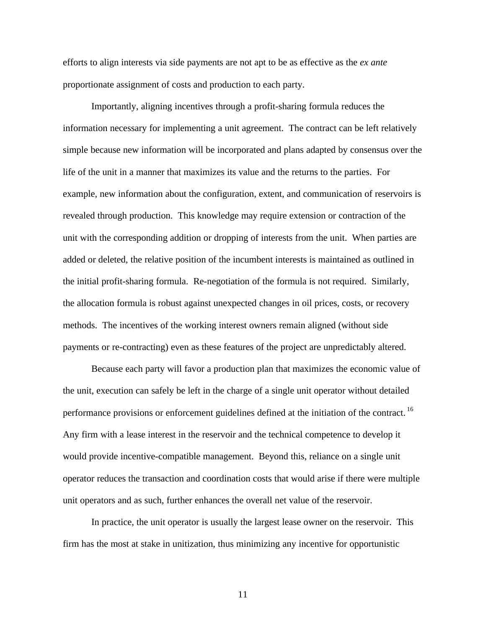efforts to align interests via side payments are not apt to be as effective as the *ex ante* proportionate assignment of costs and production to each party.

Importantly, aligning incentives through a profit-sharing formula reduces the information necessary for implementing a unit agreement. The contract can be left relatively simple because new information will be incorporated and plans adapted by consensus over the life of the unit in a manner that maximizes its value and the returns to the parties. For example, new information about the configuration, extent, and communication of reservoirs is revealed through production. This knowledge may require extension or contraction of the unit with the corresponding addition or dropping of interests from the unit. When parties are added or deleted, the relative position of the incumbent interests is maintained as outlined in the initial profit-sharing formula. Re-negotiation of the formula is not required. Similarly, the allocation formula is robust against unexpected changes in oil prices, costs, or recovery methods. The incentives of the working interest owners remain aligned (without side payments or re-contracting) even as these features of the project are unpredictably altered.

Because each party will favor a production plan that maximizes the economic value of the unit, execution can safely be left in the charge of a single unit operator without detailed performance provisions or enforcement guidelines defined at the initiation of the contract. <sup>16</sup> Any firm with a lease interest in the reservoir and the technical competence to develop it would provide incentive-compatible management. Beyond this, reliance on a single unit operator reduces the transaction and coordination costs that would arise if there were multiple unit operators and as such, further enhances the overall net value of the reservoir.

In practice, the unit operator is usually the largest lease owner on the reservoir. This firm has the most at stake in unitization, thus minimizing any incentive for opportunistic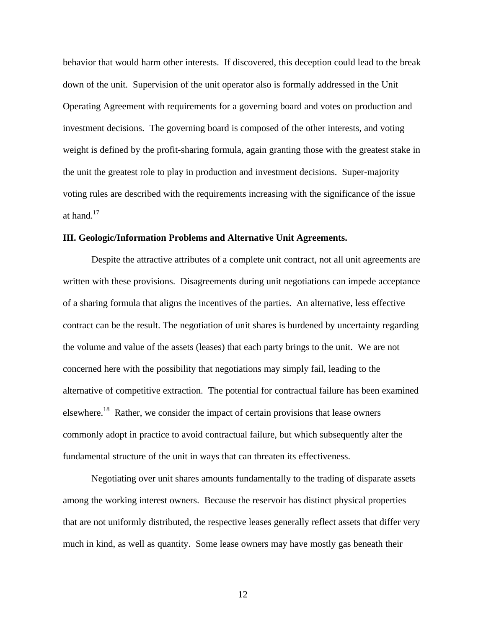behavior that would harm other interests. If discovered, this deception could lead to the break down of the unit. Supervision of the unit operator also is formally addressed in the Unit Operating Agreement with requirements for a governing board and votes on production and investment decisions. The governing board is composed of the other interests, and voting weight is defined by the profit-sharing formula, again granting those with the greatest stake in the unit the greatest role to play in production and investment decisions. Super-majority voting rules are described with the requirements increasing with the significance of the issue at hand. $17$ 

#### **III. Geologic/Information Problems and Alternative Unit Agreements.**

Despite the attractive attributes of a complete unit contract, not all unit agreements are written with these provisions. Disagreements during unit negotiations can impede acceptance of a sharing formula that aligns the incentives of the parties. An alternative, less effective contract can be the result. The negotiation of unit shares is burdened by uncertainty regarding the volume and value of the assets (leases) that each party brings to the unit. We are not concerned here with the possibility that negotiations may simply fail, leading to the alternative of competitive extraction. The potential for contractual failure has been examined elsewhere.<sup>18</sup> Rather, we consider the impact of certain provisions that lease owners commonly adopt in practice to avoid contractual failure, but which subsequently alter the fundamental structure of the unit in ways that can threaten its effectiveness.

Negotiating over unit shares amounts fundamentally to the trading of disparate assets among the working interest owners. Because the reservoir has distinct physical properties that are not uniformly distributed, the respective leases generally reflect assets that differ very much in kind, as well as quantity. Some lease owners may have mostly gas beneath their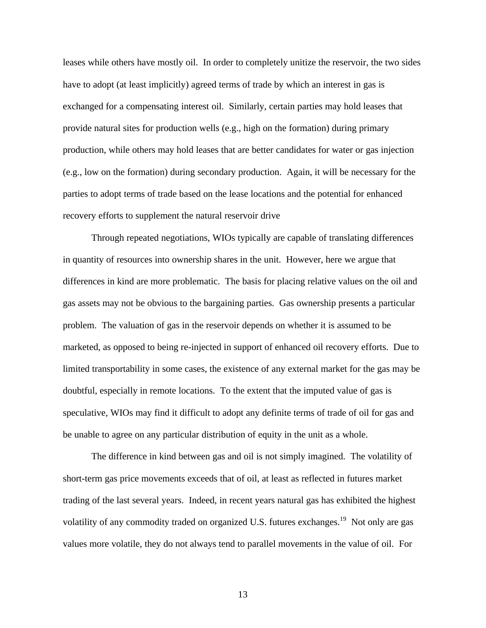leases while others have mostly oil. In order to completely unitize the reservoir, the two sides have to adopt (at least implicitly) agreed terms of trade by which an interest in gas is exchanged for a compensating interest oil. Similarly, certain parties may hold leases that provide natural sites for production wells (e.g., high on the formation) during primary production, while others may hold leases that are better candidates for water or gas injection (e.g., low on the formation) during secondary production. Again, it will be necessary for the parties to adopt terms of trade based on the lease locations and the potential for enhanced recovery efforts to supplement the natural reservoir drive

Through repeated negotiations, WIOs typically are capable of translating differences in quantity of resources into ownership shares in the unit. However, here we argue that differences in kind are more problematic. The basis for placing relative values on the oil and gas assets may not be obvious to the bargaining parties. Gas ownership presents a particular problem. The valuation of gas in the reservoir depends on whether it is assumed to be marketed, as opposed to being re-injected in support of enhanced oil recovery efforts. Due to limited transportability in some cases, the existence of any external market for the gas may be doubtful, especially in remote locations. To the extent that the imputed value of gas is speculative, WIOs may find it difficult to adopt any definite terms of trade of oil for gas and be unable to agree on any particular distribution of equity in the unit as a whole.

The difference in kind between gas and oil is not simply imagined. The volatility of short-term gas price movements exceeds that of oil, at least as reflected in futures market trading of the last several years. Indeed, in recent years natural gas has exhibited the highest volatility of any commodity traded on organized U.S. futures exchanges.<sup>19</sup> Not only are gas values more volatile, they do not always tend to parallel movements in the value of oil. For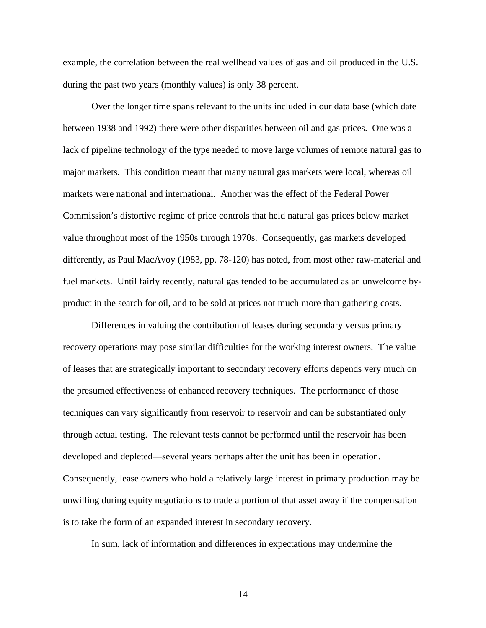example, the correlation between the real wellhead values of gas and oil produced in the U.S. during the past two years (monthly values) is only 38 percent.

Over the longer time spans relevant to the units included in our data base (which date between 1938 and 1992) there were other disparities between oil and gas prices. One was a lack of pipeline technology of the type needed to move large volumes of remote natural gas to major markets. This condition meant that many natural gas markets were local, whereas oil markets were national and international. Another was the effect of the Federal Power Commission's distortive regime of price controls that held natural gas prices below market value throughout most of the 1950s through 1970s. Consequently, gas markets developed differently, as Paul MacAvoy (1983, pp. 78-120) has noted, from most other raw-material and fuel markets. Until fairly recently, natural gas tended to be accumulated as an unwelcome byproduct in the search for oil, and to be sold at prices not much more than gathering costs.

Differences in valuing the contribution of leases during secondary versus primary recovery operations may pose similar difficulties for the working interest owners. The value of leases that are strategically important to secondary recovery efforts depends very much on the presumed effectiveness of enhanced recovery techniques. The performance of those techniques can vary significantly from reservoir to reservoir and can be substantiated only through actual testing. The relevant tests cannot be performed until the reservoir has been developed and depleted—several years perhaps after the unit has been in operation. Consequently, lease owners who hold a relatively large interest in primary production may be unwilling during equity negotiations to trade a portion of that asset away if the compensation is to take the form of an expanded interest in secondary recovery.

In sum, lack of information and differences in expectations may undermine the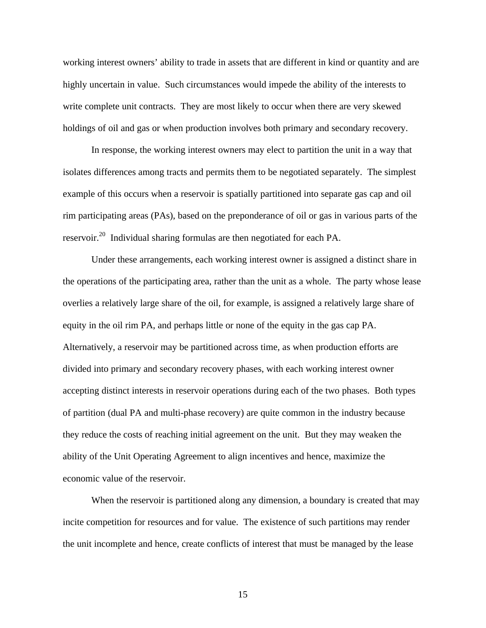working interest owners' ability to trade in assets that are different in kind or quantity and are highly uncertain in value. Such circumstances would impede the ability of the interests to write complete unit contracts. They are most likely to occur when there are very skewed holdings of oil and gas or when production involves both primary and secondary recovery.

In response, the working interest owners may elect to partition the unit in a way that isolates differences among tracts and permits them to be negotiated separately. The simplest example of this occurs when a reservoir is spatially partitioned into separate gas cap and oil rim participating areas (PAs), based on the preponderance of oil or gas in various parts of the reservoir.<sup>20</sup> Individual sharing formulas are then negotiated for each PA.

Under these arrangements, each working interest owner is assigned a distinct share in the operations of the participating area, rather than the unit as a whole. The party whose lease overlies a relatively large share of the oil, for example, is assigned a relatively large share of equity in the oil rim PA, and perhaps little or none of the equity in the gas cap PA. Alternatively, a reservoir may be partitioned across time, as when production efforts are divided into primary and secondary recovery phases, with each working interest owner accepting distinct interests in reservoir operations during each of the two phases. Both types of partition (dual PA and multi-phase recovery) are quite common in the industry because they reduce the costs of reaching initial agreement on the unit. But they may weaken the ability of the Unit Operating Agreement to align incentives and hence, maximize the economic value of the reservoir.

When the reservoir is partitioned along any dimension, a boundary is created that may incite competition for resources and for value. The existence of such partitions may render the unit incomplete and hence, create conflicts of interest that must be managed by the lease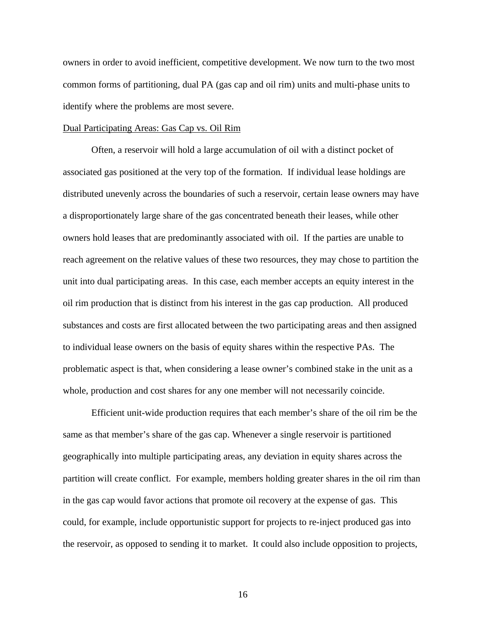owners in order to avoid inefficient, competitive development. We now turn to the two most common forms of partitioning, dual PA (gas cap and oil rim) units and multi-phase units to identify where the problems are most severe.

# Dual Participating Areas: Gas Cap vs. Oil Rim

Often, a reservoir will hold a large accumulation of oil with a distinct pocket of associated gas positioned at the very top of the formation. If individual lease holdings are distributed unevenly across the boundaries of such a reservoir, certain lease owners may have a disproportionately large share of the gas concentrated beneath their leases, while other owners hold leases that are predominantly associated with oil. If the parties are unable to reach agreement on the relative values of these two resources, they may chose to partition the unit into dual participating areas. In this case, each member accepts an equity interest in the oil rim production that is distinct from his interest in the gas cap production. All produced substances and costs are first allocated between the two participating areas and then assigned to individual lease owners on the basis of equity shares within the respective PAs. The problematic aspect is that, when considering a lease owner's combined stake in the unit as a whole, production and cost shares for any one member will not necessarily coincide.

Efficient unit-wide production requires that each member's share of the oil rim be the same as that member's share of the gas cap. Whenever a single reservoir is partitioned geographically into multiple participating areas, any deviation in equity shares across the partition will create conflict. For example, members holding greater shares in the oil rim than in the gas cap would favor actions that promote oil recovery at the expense of gas. This could, for example, include opportunistic support for projects to re-inject produced gas into the reservoir, as opposed to sending it to market. It could also include opposition to projects,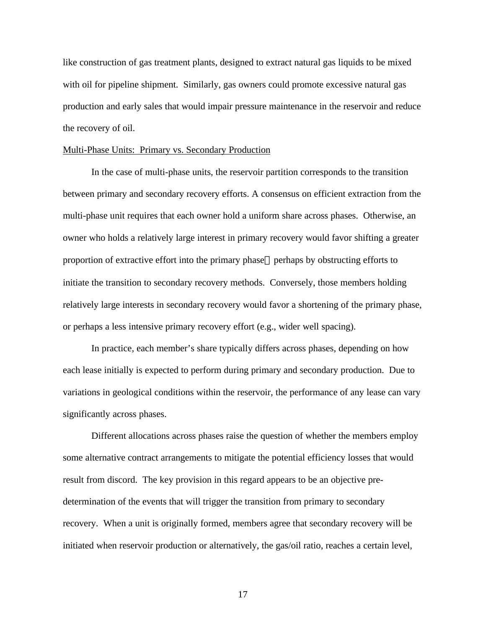like construction of gas treatment plants, designed to extract natural gas liquids to be mixed with oil for pipeline shipment. Similarly, gas owners could promote excessive natural gas production and early sales that would impair pressure maintenance in the reservoir and reduce the recovery of oil.

#### Multi-Phase Units: Primary vs. Secondary Production

In the case of multi-phase units, the reservoir partition corresponds to the transition between primary and secondary recovery efforts. A consensus on efficient extraction from the multi-phase unit requires that each owner hold a uniform share across phases. Otherwise, an owner who holds a relatively large interest in primary recovery would favor shifting a greater proportion of extractive effort into the primary phase—perhaps by obstructing efforts to initiate the transition to secondary recovery methods. Conversely, those members holding relatively large interests in secondary recovery would favor a shortening of the primary phase, or perhaps a less intensive primary recovery effort (e.g., wider well spacing).

In practice, each member's share typically differs across phases, depending on how each lease initially is expected to perform during primary and secondary production. Due to variations in geological conditions within the reservoir, the performance of any lease can vary significantly across phases.

Different allocations across phases raise the question of whether the members employ some alternative contract arrangements to mitigate the potential efficiency losses that would result from discord. The key provision in this regard appears to be an objective predetermination of the events that will trigger the transition from primary to secondary recovery. When a unit is originally formed, members agree that secondary recovery will be initiated when reservoir production or alternatively, the gas/oil ratio, reaches a certain level,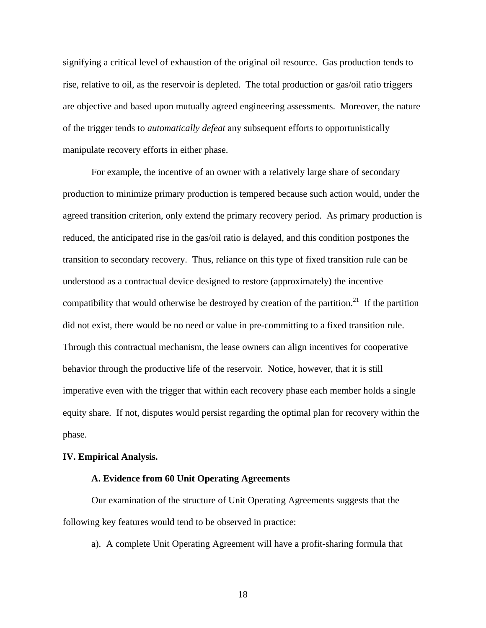signifying a critical level of exhaustion of the original oil resource. Gas production tends to rise, relative to oil, as the reservoir is depleted. The total production or gas/oil ratio triggers are objective and based upon mutually agreed engineering assessments. Moreover, the nature of the trigger tends to *automatically defeat* any subsequent efforts to opportunistically manipulate recovery efforts in either phase.

For example, the incentive of an owner with a relatively large share of secondary production to minimize primary production is tempered because such action would, under the agreed transition criterion, only extend the primary recovery period. As primary production is reduced, the anticipated rise in the gas/oil ratio is delayed, and this condition postpones the transition to secondary recovery. Thus, reliance on this type of fixed transition rule can be understood as a contractual device designed to restore (approximately) the incentive compatibility that would otherwise be destroyed by creation of the partition.<sup>21</sup> If the partition did not exist, there would be no need or value in pre-committing to a fixed transition rule. Through this contractual mechanism, the lease owners can align incentives for cooperative behavior through the productive life of the reservoir. Notice, however, that it is still imperative even with the trigger that within each recovery phase each member holds a single equity share. If not, disputes would persist regarding the optimal plan for recovery within the phase.

#### **IV. Empirical Analysis.**

# **A. Evidence from 60 Unit Operating Agreements**

Our examination of the structure of Unit Operating Agreements suggests that the following key features would tend to be observed in practice:

a). A complete Unit Operating Agreement will have a profit-sharing formula that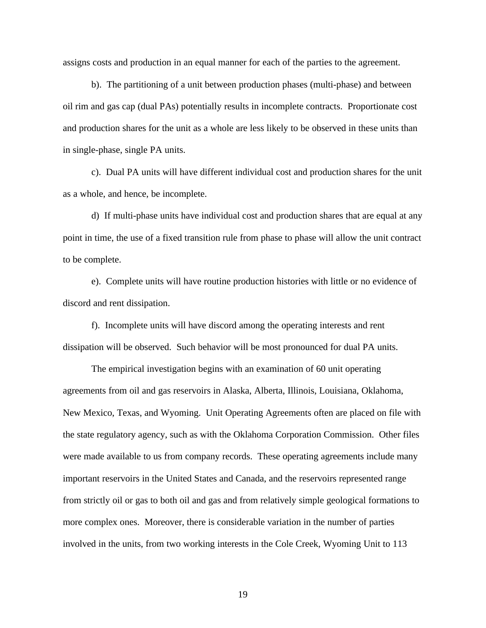assigns costs and production in an equal manner for each of the parties to the agreement.

b). The partitioning of a unit between production phases (multi-phase) and between oil rim and gas cap (dual PAs) potentially results in incomplete contracts. Proportionate cost and production shares for the unit as a whole are less likely to be observed in these units than in single-phase, single PA units.

c). Dual PA units will have different individual cost and production shares for the unit as a whole, and hence, be incomplete.

d) If multi-phase units have individual cost and production shares that are equal at any point in time, the use of a fixed transition rule from phase to phase will allow the unit contract to be complete.

e). Complete units will have routine production histories with little or no evidence of discord and rent dissipation.

f). Incomplete units will have discord among the operating interests and rent dissipation will be observed. Such behavior will be most pronounced for dual PA units.

The empirical investigation begins with an examination of 60 unit operating agreements from oil and gas reservoirs in Alaska, Alberta, Illinois, Louisiana, Oklahoma, New Mexico, Texas, and Wyoming. Unit Operating Agreements often are placed on file with the state regulatory agency, such as with the Oklahoma Corporation Commission. Other files were made available to us from company records. These operating agreements include many important reservoirs in the United States and Canada, and the reservoirs represented range from strictly oil or gas to both oil and gas and from relatively simple geological formations to more complex ones. Moreover, there is considerable variation in the number of parties involved in the units, from two working interests in the Cole Creek, Wyoming Unit to 113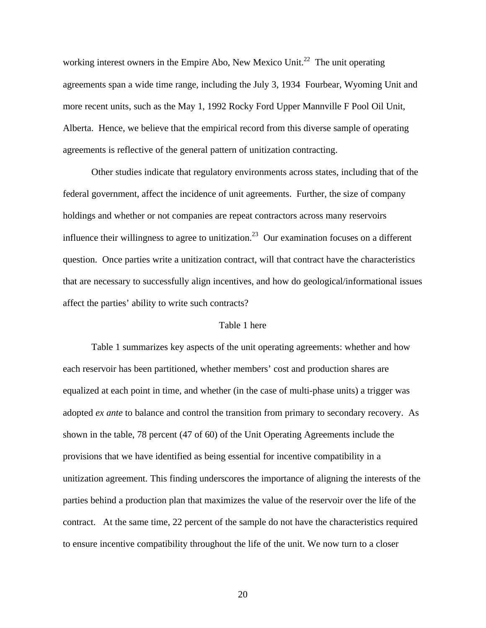working interest owners in the Empire Abo, New Mexico Unit.<sup>22</sup> The unit operating agreements span a wide time range, including the July 3, 1934 Fourbear, Wyoming Unit and more recent units, such as the May 1, 1992 Rocky Ford Upper Mannville F Pool Oil Unit, Alberta. Hence, we believe that the empirical record from this diverse sample of operating agreements is reflective of the general pattern of unitization contracting.

Other studies indicate that regulatory environments across states, including that of the federal government, affect the incidence of unit agreements. Further, the size of company holdings and whether or not companies are repeat contractors across many reservoirs influence their willingness to agree to unitization.<sup>23</sup> Our examination focuses on a different question. Once parties write a unitization contract, will that contract have the characteristics that are necessary to successfully align incentives, and how do geological/informational issues affect the parties' ability to write such contracts?

## Table 1 here

Table 1 summarizes key aspects of the unit operating agreements: whether and how each reservoir has been partitioned, whether members' cost and production shares are equalized at each point in time, and whether (in the case of multi-phase units) a trigger was adopted *ex ante* to balance and control the transition from primary to secondary recovery. As shown in the table, 78 percent (47 of 60) of the Unit Operating Agreements include the provisions that we have identified as being essential for incentive compatibility in a unitization agreement. This finding underscores the importance of aligning the interests of the parties behind a production plan that maximizes the value of the reservoir over the life of the contract. At the same time, 22 percent of the sample do not have the characteristics required to ensure incentive compatibility throughout the life of the unit. We now turn to a closer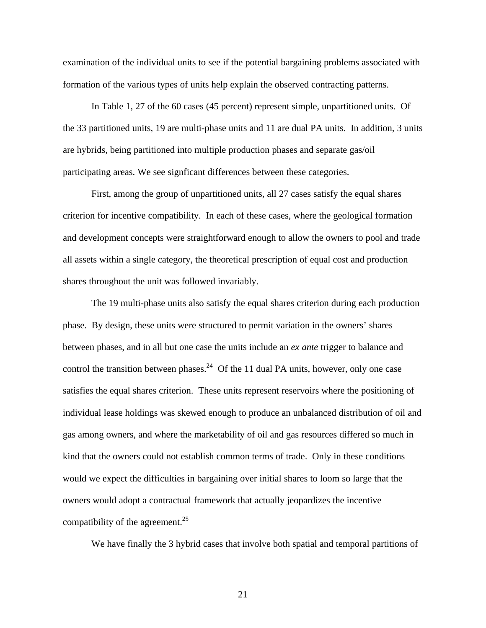examination of the individual units to see if the potential bargaining problems associated with formation of the various types of units help explain the observed contracting patterns.

In Table 1, 27 of the 60 cases (45 percent) represent simple, unpartitioned units. Of the 33 partitioned units, 19 are multi-phase units and 11 are dual PA units. In addition, 3 units are hybrids, being partitioned into multiple production phases and separate gas/oil participating areas. We see signficant differences between these categories.

First, among the group of unpartitioned units, all 27 cases satisfy the equal shares criterion for incentive compatibility. In each of these cases, where the geological formation and development concepts were straightforward enough to allow the owners to pool and trade all assets within a single category, the theoretical prescription of equal cost and production shares throughout the unit was followed invariably.

The 19 multi-phase units also satisfy the equal shares criterion during each production phase. By design, these units were structured to permit variation in the owners' shares between phases, and in all but one case the units include an *ex ante* trigger to balance and control the transition between phases.<sup>24</sup> Of the 11 dual PA units, however, only one case satisfies the equal shares criterion. These units represent reservoirs where the positioning of individual lease holdings was skewed enough to produce an unbalanced distribution of oil and gas among owners, and where the marketability of oil and gas resources differed so much in kind that the owners could not establish common terms of trade. Only in these conditions would we expect the difficulties in bargaining over initial shares to loom so large that the owners would adopt a contractual framework that actually jeopardizes the incentive compatibility of the agreement. $^{25}$ 

We have finally the 3 hybrid cases that involve both spatial and temporal partitions of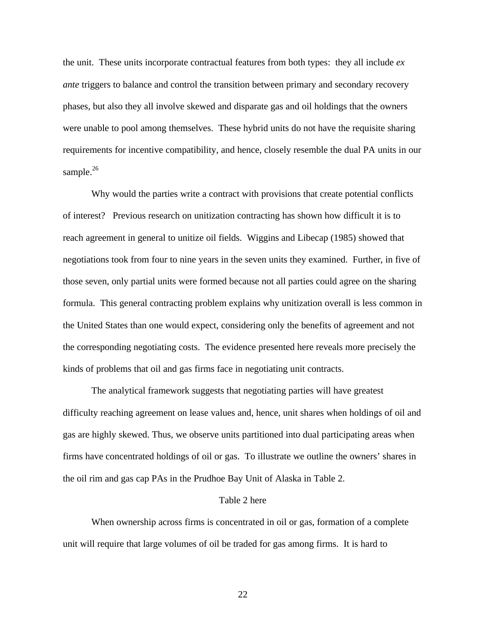the unit. These units incorporate contractual features from both types: they all include *ex ante* triggers to balance and control the transition between primary and secondary recovery phases, but also they all involve skewed and disparate gas and oil holdings that the owners were unable to pool among themselves. These hybrid units do not have the requisite sharing requirements for incentive compatibility, and hence, closely resemble the dual PA units in our sample. $^{26}$ 

Why would the parties write a contract with provisions that create potential conflicts of interest? Previous research on unitization contracting has shown how difficult it is to reach agreement in general to unitize oil fields. Wiggins and Libecap (1985) showed that negotiations took from four to nine years in the seven units they examined. Further, in five of those seven, only partial units were formed because not all parties could agree on the sharing formula. This general contracting problem explains why unitization overall is less common in the United States than one would expect, considering only the benefits of agreement and not the corresponding negotiating costs. The evidence presented here reveals more precisely the kinds of problems that oil and gas firms face in negotiating unit contracts.

The analytical framework suggests that negotiating parties will have greatest difficulty reaching agreement on lease values and, hence, unit shares when holdings of oil and gas are highly skewed. Thus, we observe units partitioned into dual participating areas when firms have concentrated holdings of oil or gas. To illustrate we outline the owners' shares in the oil rim and gas cap PAs in the Prudhoe Bay Unit of Alaska in Table 2.

## Table 2 here

When ownership across firms is concentrated in oil or gas, formation of a complete unit will require that large volumes of oil be traded for gas among firms. It is hard to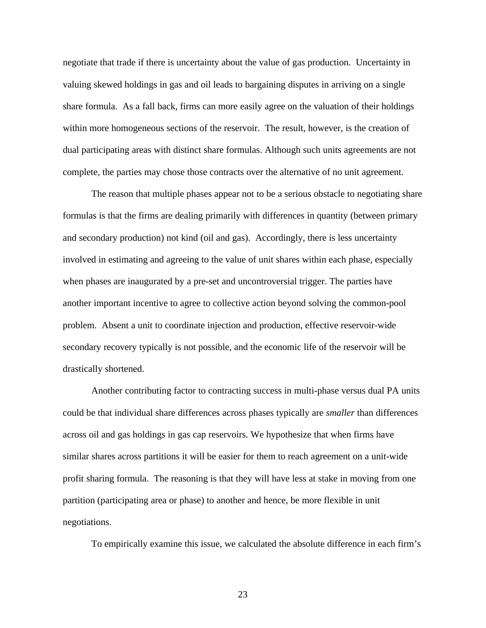negotiate that trade if there is uncertainty about the value of gas production. Uncertainty in valuing skewed holdings in gas and oil leads to bargaining disputes in arriving on a single share formula. As a fall back, firms can more easily agree on the valuation of their holdings within more homogeneous sections of the reservoir. The result, however, is the creation of dual participating areas with distinct share formulas. Although such units agreements are not complete, the parties may chose those contracts over the alternative of no unit agreement.

The reason that multiple phases appear not to be a serious obstacle to negotiating share formulas is that the firms are dealing primarily with differences in quantity (between primary and secondary production) not kind (oil and gas). Accordingly, there is less uncertainty involved in estimating and agreeing to the value of unit shares within each phase, especially when phases are inaugurated by a pre-set and uncontroversial trigger. The parties have another important incentive to agree to collective action beyond solving the common-pool problem. Absent a unit to coordinate injection and production, effective reservoir-wide secondary recovery typically is not possible, and the economic life of the reservoir will be drastically shortened.

Another contributing factor to contracting success in multi-phase versus dual PA units could be that individual share differences across phases typically are *smaller* than differences across oil and gas holdings in gas cap reservoirs. We hypothesize that when firms have similar shares across partitions it will be easier for them to reach agreement on a unit-wide profit sharing formula. The reasoning is that they will have less at stake in moving from one partition (participating area or phase) to another and hence, be more flexible in unit negotiations.

To empirically examine this issue, we calculated the absolute difference in each firm's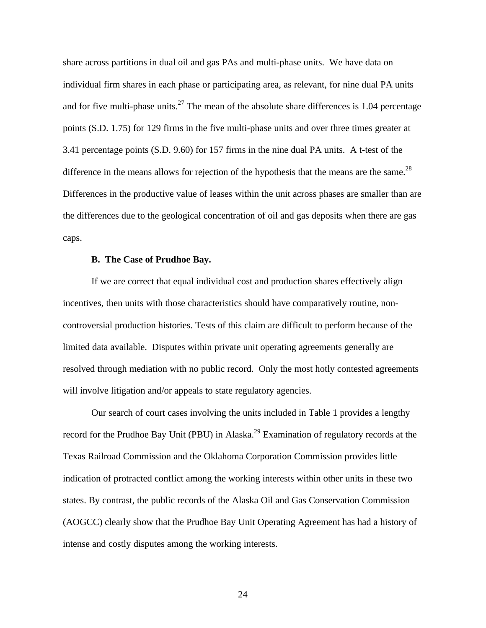share across partitions in dual oil and gas PAs and multi-phase units. We have data on individual firm shares in each phase or participating area, as relevant, for nine dual PA units and for five multi-phase units.<sup>27</sup> The mean of the absolute share differences is 1.04 percentage points (S.D. 1.75) for 129 firms in the five multi-phase units and over three times greater at 3.41 percentage points (S.D. 9.60) for 157 firms in the nine dual PA units. A t-test of the difference in the means allows for rejection of the hypothesis that the means are the same.<sup>28</sup> Differences in the productive value of leases within the unit across phases are smaller than are the differences due to the geological concentration of oil and gas deposits when there are gas caps.

## **B. The Case of Prudhoe Bay.**

If we are correct that equal individual cost and production shares effectively align incentives, then units with those characteristics should have comparatively routine, noncontroversial production histories. Tests of this claim are difficult to perform because of the limited data available. Disputes within private unit operating agreements generally are resolved through mediation with no public record. Only the most hotly contested agreements will involve litigation and/or appeals to state regulatory agencies.

Our search of court cases involving the units included in Table 1 provides a lengthy record for the Prudhoe Bay Unit (PBU) in Alaska.<sup>29</sup> Examination of regulatory records at the Texas Railroad Commission and the Oklahoma Corporation Commission provides little indication of protracted conflict among the working interests within other units in these two states. By contrast, the public records of the Alaska Oil and Gas Conservation Commission (AOGCC) clearly show that the Prudhoe Bay Unit Operating Agreement has had a history of intense and costly disputes among the working interests.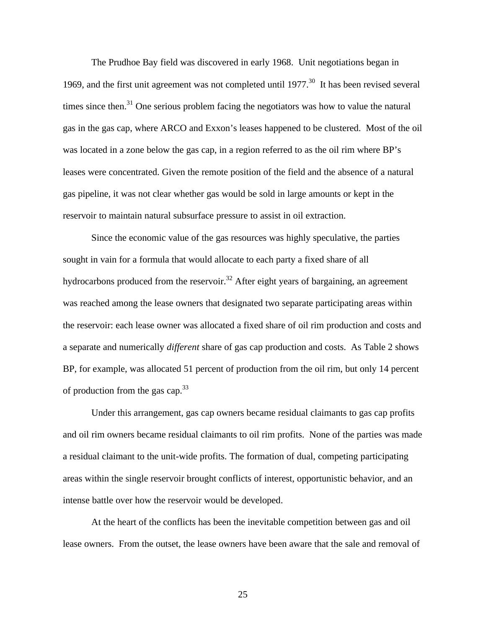The Prudhoe Bay field was discovered in early 1968. Unit negotiations began in 1969, and the first unit agreement was not completed until  $1977$ <sup>30</sup> It has been revised several times since then.<sup>31</sup> One serious problem facing the negotiators was how to value the natural gas in the gas cap, where ARCO and Exxon's leases happened to be clustered. Most of the oil was located in a zone below the gas cap, in a region referred to as the oil rim where BP's leases were concentrated. Given the remote position of the field and the absence of a natural gas pipeline, it was not clear whether gas would be sold in large amounts or kept in the reservoir to maintain natural subsurface pressure to assist in oil extraction.

Since the economic value of the gas resources was highly speculative, the parties sought in vain for a formula that would allocate to each party a fixed share of all hydrocarbons produced from the reservoir.<sup>32</sup> After eight years of bargaining, an agreement was reached among the lease owners that designated two separate participating areas within the reservoir: each lease owner was allocated a fixed share of oil rim production and costs and a separate and numerically *different* share of gas cap production and costs. As Table 2 shows BP, for example, was allocated 51 percent of production from the oil rim, but only 14 percent of production from the gas cap.  $33$ 

Under this arrangement, gas cap owners became residual claimants to gas cap profits and oil rim owners became residual claimants to oil rim profits. None of the parties was made a residual claimant to the unit-wide profits. The formation of dual, competing participating areas within the single reservoir brought conflicts of interest, opportunistic behavior, and an intense battle over how the reservoir would be developed.

At the heart of the conflicts has been the inevitable competition between gas and oil lease owners. From the outset, the lease owners have been aware that the sale and removal of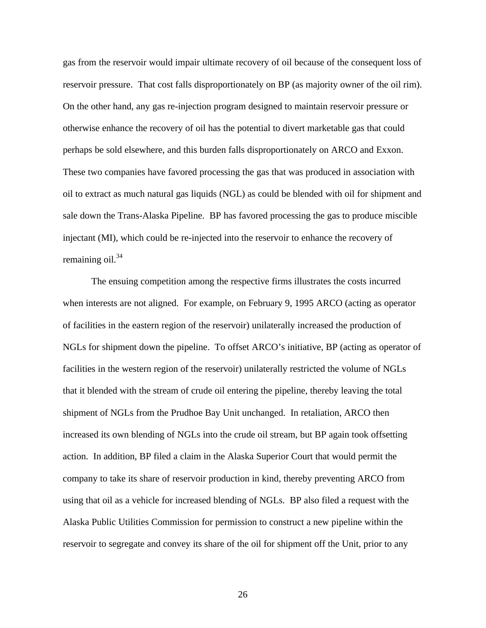gas from the reservoir would impair ultimate recovery of oil because of the consequent loss of reservoir pressure. That cost falls disproportionately on BP (as majority owner of the oil rim). On the other hand, any gas re-injection program designed to maintain reservoir pressure or otherwise enhance the recovery of oil has the potential to divert marketable gas that could perhaps be sold elsewhere, and this burden falls disproportionately on ARCO and Exxon. These two companies have favored processing the gas that was produced in association with oil to extract as much natural gas liquids (NGL) as could be blended with oil for shipment and sale down the Trans-Alaska Pipeline. BP has favored processing the gas to produce miscible injectant (MI), which could be re-injected into the reservoir to enhance the recovery of remaining oil. $34$ 

The ensuing competition among the respective firms illustrates the costs incurred when interests are not aligned. For example, on February 9, 1995 ARCO (acting as operator of facilities in the eastern region of the reservoir) unilaterally increased the production of NGLs for shipment down the pipeline. To offset ARCO's initiative, BP (acting as operator of facilities in the western region of the reservoir) unilaterally restricted the volume of NGLs that it blended with the stream of crude oil entering the pipeline, thereby leaving the total shipment of NGLs from the Prudhoe Bay Unit unchanged. In retaliation, ARCO then increased its own blending of NGLs into the crude oil stream, but BP again took offsetting action. In addition, BP filed a claim in the Alaska Superior Court that would permit the company to take its share of reservoir production in kind, thereby preventing ARCO from using that oil as a vehicle for increased blending of NGLs. BP also filed a request with the Alaska Public Utilities Commission for permission to construct a new pipeline within the reservoir to segregate and convey its share of the oil for shipment off the Unit, prior to any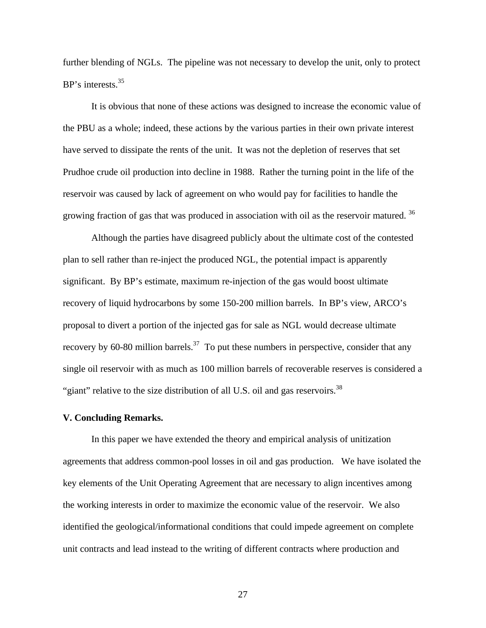further blending of NGLs. The pipeline was not necessary to develop the unit, only to protect BP's interests.<sup>35</sup>

It is obvious that none of these actions was designed to increase the economic value of the PBU as a whole; indeed, these actions by the various parties in their own private interest have served to dissipate the rents of the unit. It was not the depletion of reserves that set Prudhoe crude oil production into decline in 1988. Rather the turning point in the life of the reservoir was caused by lack of agreement on who would pay for facilities to handle the growing fraction of gas that was produced in association with oil as the reservoir matured.<sup>36</sup>

Although the parties have disagreed publicly about the ultimate cost of the contested plan to sell rather than re-inject the produced NGL, the potential impact is apparently significant. By BP's estimate, maximum re-injection of the gas would boost ultimate recovery of liquid hydrocarbons by some 150-200 million barrels. In BP's view, ARCO's proposal to divert a portion of the injected gas for sale as NGL would decrease ultimate recovery by 60-80 million barrels.<sup>37</sup> To put these numbers in perspective, consider that any single oil reservoir with as much as 100 million barrels of recoverable reserves is considered a "giant" relative to the size distribution of all U.S. oil and gas reservoirs.<sup>38</sup>

## **V. Concluding Remarks.**

In this paper we have extended the theory and empirical analysis of unitization agreements that address common-pool losses in oil and gas production. We have isolated the key elements of the Unit Operating Agreement that are necessary to align incentives among the working interests in order to maximize the economic value of the reservoir. We also identified the geological/informational conditions that could impede agreement on complete unit contracts and lead instead to the writing of different contracts where production and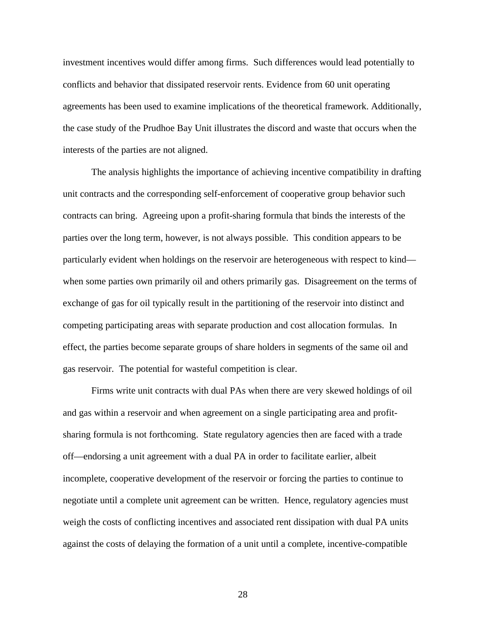investment incentives would differ among firms. Such differences would lead potentially to conflicts and behavior that dissipated reservoir rents. Evidence from 60 unit operating agreements has been used to examine implications of the theoretical framework. Additionally, the case study of the Prudhoe Bay Unit illustrates the discord and waste that occurs when the interests of the parties are not aligned.

The analysis highlights the importance of achieving incentive compatibility in drafting unit contracts and the corresponding self-enforcement of cooperative group behavior such contracts can bring. Agreeing upon a profit-sharing formula that binds the interests of the parties over the long term, however, is not always possible. This condition appears to be particularly evident when holdings on the reservoir are heterogeneous with respect to kind when some parties own primarily oil and others primarily gas. Disagreement on the terms of exchange of gas for oil typically result in the partitioning of the reservoir into distinct and competing participating areas with separate production and cost allocation formulas. In effect, the parties become separate groups of share holders in segments of the same oil and gas reservoir. The potential for wasteful competition is clear.

Firms write unit contracts with dual PAs when there are very skewed holdings of oil and gas within a reservoir and when agreement on a single participating area and profitsharing formula is not forthcoming. State regulatory agencies then are faced with a trade off—endorsing a unit agreement with a dual PA in order to facilitate earlier, albeit incomplete, cooperative development of the reservoir or forcing the parties to continue to negotiate until a complete unit agreement can be written. Hence, regulatory agencies must weigh the costs of conflicting incentives and associated rent dissipation with dual PA units against the costs of delaying the formation of a unit until a complete, incentive-compatible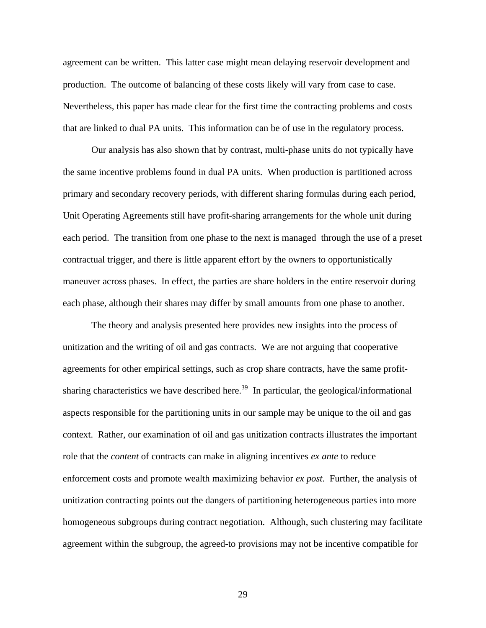agreement can be written. This latter case might mean delaying reservoir development and production. The outcome of balancing of these costs likely will vary from case to case. Nevertheless, this paper has made clear for the first time the contracting problems and costs that are linked to dual PA units. This information can be of use in the regulatory process.

Our analysis has also shown that by contrast, multi-phase units do not typically have the same incentive problems found in dual PA units. When production is partitioned across primary and secondary recovery periods, with different sharing formulas during each period, Unit Operating Agreements still have profit-sharing arrangements for the whole unit during each period. The transition from one phase to the next is managed through the use of a preset contractual trigger, and there is little apparent effort by the owners to opportunistically maneuver across phases. In effect, the parties are share holders in the entire reservoir during each phase, although their shares may differ by small amounts from one phase to another.

The theory and analysis presented here provides new insights into the process of unitization and the writing of oil and gas contracts. We are not arguing that cooperative agreements for other empirical settings, such as crop share contracts, have the same profitsharing characteristics we have described here.<sup>39</sup> In particular, the geological/informational aspects responsible for the partitioning units in our sample may be unique to the oil and gas context. Rather, our examination of oil and gas unitization contracts illustrates the important role that the *content* of contracts can make in aligning incentives *ex ante* to reduce enforcement costs and promote wealth maximizing behavior *ex post*. Further, the analysis of unitization contracting points out the dangers of partitioning heterogeneous parties into more homogeneous subgroups during contract negotiation. Although, such clustering may facilitate agreement within the subgroup, the agreed-to provisions may not be incentive compatible for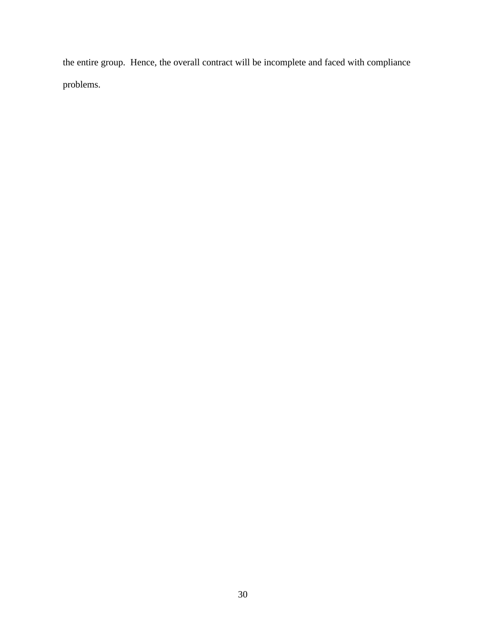the entire group. Hence, the overall contract will be incomplete and faced with compliance problems.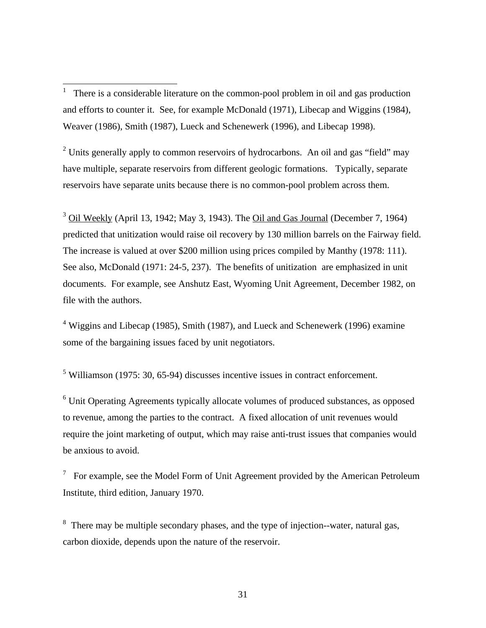<sup>2</sup> Units generally apply to common reservoirs of hydrocarbons. An oil and gas "field" may have multiple, separate reservoirs from different geologic formations. Typically, separate reservoirs have separate units because there is no common-pool problem across them.

<sup>3</sup> Oil Weekly (April 13, 1942; May 3, 1943). The Oil and Gas Journal (December 7, 1964) predicted that unitization would raise oil recovery by 130 million barrels on the Fairway field. The increase is valued at over \$200 million using prices compiled by Manthy (1978: 111). See also, McDonald (1971: 24-5, 237). The benefits of unitization are emphasized in unit documents. For example, see Anshutz East, Wyoming Unit Agreement, December 1982, on file with the authors.

<sup>4</sup> Wiggins and Libecap (1985), Smith (1987), and Lueck and Schenewerk (1996) examine some of the bargaining issues faced by unit negotiators.

<sup>5</sup> Williamson (1975: 30, 65-94) discusses incentive issues in contract enforcement.

<sup>6</sup> Unit Operating Agreements typically allocate volumes of produced substances, as opposed to revenue, among the parties to the contract. A fixed allocation of unit revenues would require the joint marketing of output, which may raise anti-trust issues that companies would be anxious to avoid.

 $7$  For example, see the Model Form of Unit Agreement provided by the American Petroleum Institute, third edition, January 1970.

<sup>8</sup> There may be multiple secondary phases, and the type of injection--water, natural gas, carbon dioxide, depends upon the nature of the reservoir.

 $\frac{1}{1}$  There is a considerable literature on the common-pool problem in oil and gas production and efforts to counter it. See, for example McDonald (1971), Libecap and Wiggins (1984), Weaver (1986), Smith (1987), Lueck and Schenewerk (1996), and Libecap 1998).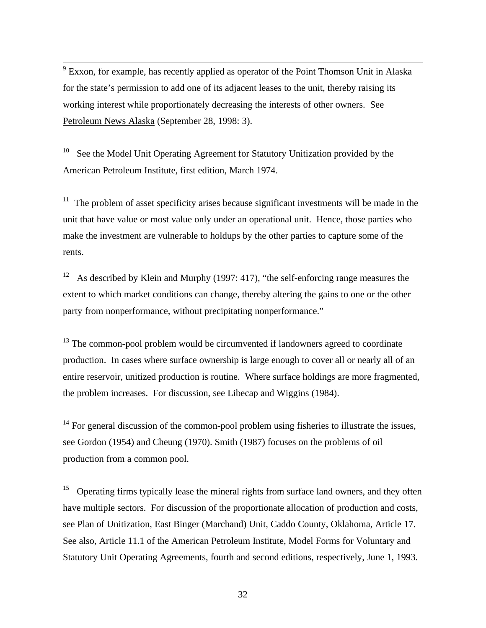<sup>9</sup> Exxon, for example, has recently applied as operator of the Point Thomson Unit in Alaska for the state's permission to add one of its adjacent leases to the unit, thereby raising its working interest while proportionately decreasing the interests of other owners. See Petroleum News Alaska (September 28, 1998: 3).

 $10<sup>10</sup>$  See the Model Unit Operating Agreement for Statutory Unitization provided by the American Petroleum Institute, first edition, March 1974.

 $11$  The problem of asset specificity arises because significant investments will be made in the unit that have value or most value only under an operational unit. Hence, those parties who make the investment are vulnerable to holdups by the other parties to capture some of the rents.

<sup>12</sup> As described by Klein and Murphy (1997: 417), "the self-enforcing range measures the extent to which market conditions can change, thereby altering the gains to one or the other party from nonperformance, without precipitating nonperformance."

 $13$  The common-pool problem would be circumvented if landowners agreed to coordinate production. In cases where surface ownership is large enough to cover all or nearly all of an entire reservoir, unitized production is routine. Where surface holdings are more fragmented, the problem increases. For discussion, see Libecap and Wiggins (1984).

 $14$  For general discussion of the common-pool problem using fisheries to illustrate the issues, see Gordon (1954) and Cheung (1970). Smith (1987) focuses on the problems of oil production from a common pool.

<sup>15</sup> Operating firms typically lease the mineral rights from surface land owners, and they often have multiple sectors. For discussion of the proportionate allocation of production and costs, see Plan of Unitization, East Binger (Marchand) Unit, Caddo County, Oklahoma, Article 17. See also, Article 11.1 of the American Petroleum Institute, Model Forms for Voluntary and Statutory Unit Operating Agreements, fourth and second editions, respectively, June 1, 1993.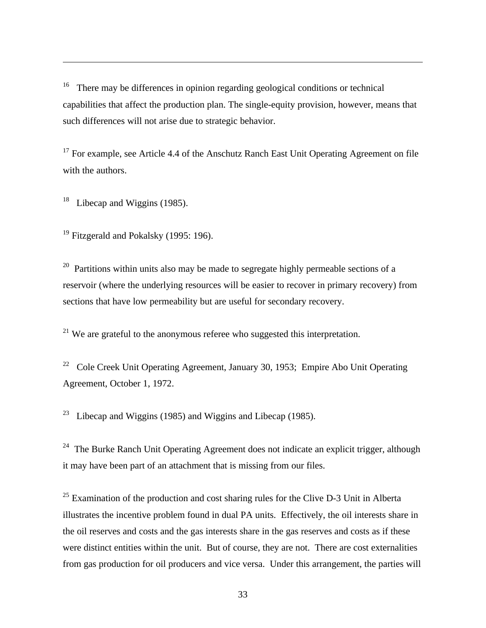<sup>16</sup> There may be differences in opinion regarding geological conditions or technical capabilities that affect the production plan. The single-equity provision, however, means that such differences will not arise due to strategic behavior.

 $17$  For example, see Article 4.4 of the Anschutz Ranch East Unit Operating Agreement on file with the authors.

18 Libecap and Wiggins (1985).

 $\overline{a}$ 

<sup>19</sup> Fitzgerald and Pokalsky (1995: 196).

 $20$  Partitions within units also may be made to segregate highly permeable sections of a reservoir (where the underlying resources will be easier to recover in primary recovery) from sections that have low permeability but are useful for secondary recovery.

 $21$  We are grateful to the anonymous referee who suggested this interpretation.

<sup>22</sup> Cole Creek Unit Operating Agreement, January 30, 1953; Empire Abo Unit Operating Agreement, October 1, 1972.

23 Libecap and Wiggins (1985) and Wiggins and Libecap (1985).

<sup>24</sup> The Burke Ranch Unit Operating Agreement does not indicate an explicit trigger, although it may have been part of an attachment that is missing from our files.

 $25$  Examination of the production and cost sharing rules for the Clive D-3 Unit in Alberta illustrates the incentive problem found in dual PA units. Effectively, the oil interests share in the oil reserves and costs and the gas interests share in the gas reserves and costs as if these were distinct entities within the unit. But of course, they are not. There are cost externalities from gas production for oil producers and vice versa. Under this arrangement, the parties will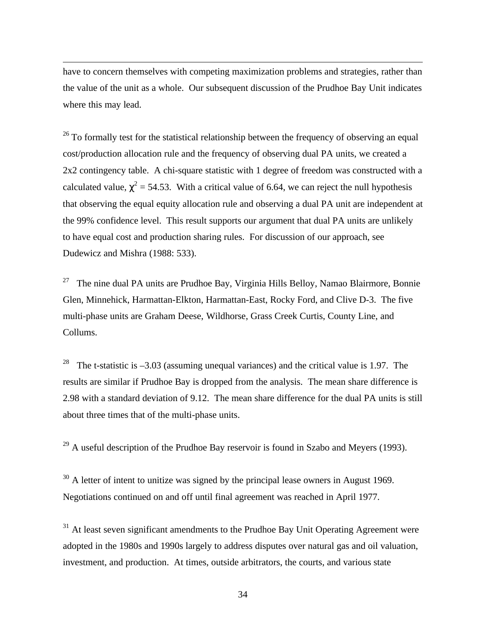have to concern themselves with competing maximization problems and strategies, rather than the value of the unit as a whole. Our subsequent discussion of the Prudhoe Bay Unit indicates where this may lead.

 $\overline{a}$ 

 $26$  To formally test for the statistical relationship between the frequency of observing an equal cost/production allocation rule and the frequency of observing dual PA units, we created a 2x2 contingency table. A chi-square statistic with 1 degree of freedom was constructed with a calculated value,  $\chi^2 = 54.53$ . With a critical value of 6.64, we can reject the null hypothesis that observing the equal equity allocation rule and observing a dual PA unit are independent at the 99% confidence level. This result supports our argument that dual PA units are unlikely to have equal cost and production sharing rules. For discussion of our approach, see Dudewicz and Mishra (1988: 533).

<sup>27</sup> The nine dual PA units are Prudhoe Bay, Virginia Hills Belloy, Namao Blairmore, Bonnie Glen, Minnehick, Harmattan-Elkton, Harmattan-East, Rocky Ford, and Clive D-3. The five multi-phase units are Graham Deese, Wildhorse, Grass Creek Curtis, County Line, and Collums.

The t-statistic is  $-3.03$  (assuming unequal variances) and the critical value is 1.97. The results are similar if Prudhoe Bay is dropped from the analysis. The mean share difference is 2.98 with a standard deviation of 9.12. The mean share difference for the dual PA units is still about three times that of the multi-phase units.

 $^{29}$  A useful description of the Prudhoe Bay reservoir is found in Szabo and Meyers (1993).

 $30$  A letter of intent to unitize was signed by the principal lease owners in August 1969. Negotiations continued on and off until final agreement was reached in April 1977.

 $31$  At least seven significant amendments to the Prudhoe Bay Unit Operating Agreement were adopted in the 1980s and 1990s largely to address disputes over natural gas and oil valuation, investment, and production. At times, outside arbitrators, the courts, and various state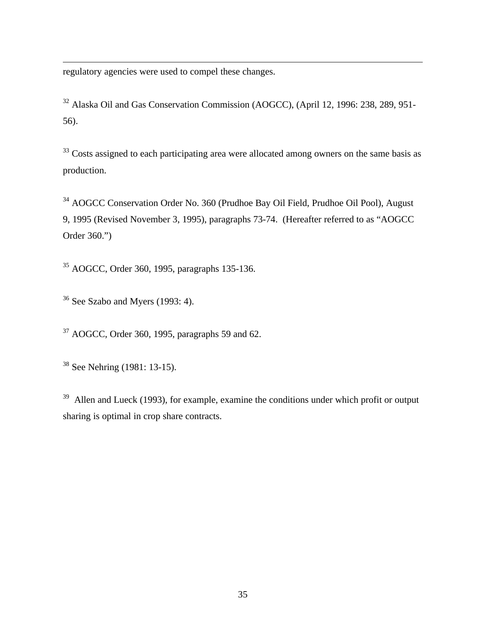regulatory agencies were used to compel these changes.

 $\overline{a}$ 

<sup>32</sup> Alaska Oil and Gas Conservation Commission (AOGCC), (April 12, 1996: 238, 289, 951- 56).

<sup>33</sup> Costs assigned to each participating area were allocated among owners on the same basis as production.

<sup>34</sup> AOGCC Conservation Order No. 360 (Prudhoe Bay Oil Field, Prudhoe Oil Pool), August 9, 1995 (Revised November 3, 1995), paragraphs 73-74. (Hereafter referred to as "AOGCC Order 360.")

<sup>35</sup> AOGCC, Order 360, 1995, paragraphs 135-136.

 $36$  See Szabo and Myers (1993: 4).

 $37$  AOGCC, Order 360, 1995, paragraphs 59 and 62.

<sup>38</sup> See Nehring (1981: 13-15).

 $39$  Allen and Lueck (1993), for example, examine the conditions under which profit or output sharing is optimal in crop share contracts.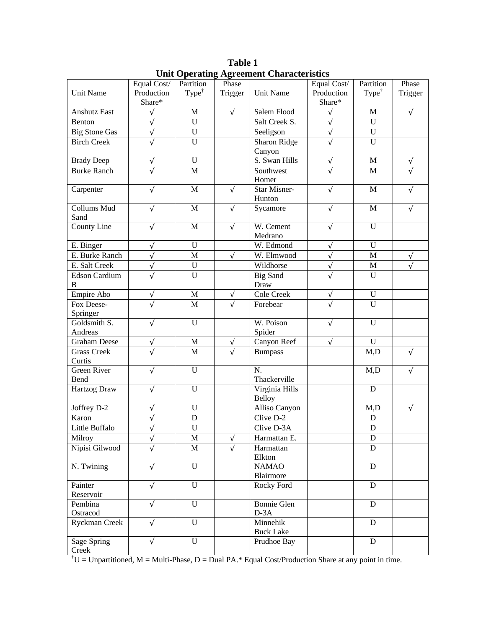|                       | Equal Cost/ | Partition        | Phase      |                     | Equal Cost/ | Partition        | Phase     |
|-----------------------|-------------|------------------|------------|---------------------|-------------|------------------|-----------|
| Unit Name             | Production  | $Type^{\dagger}$ | Trigger    | Unit Name           | Production  | $Type^{\dagger}$ | Trigger   |
|                       | Share*      |                  |            |                     | Share*      |                  |           |
| <b>Anshutz East</b>   |             | M                | $\sqrt{}$  | Salem Flood         |             | $\mathbf M$      | $\sqrt{}$ |
| Benton                | V           | $\mathbf U$      |            | Salt Creek S.       | V           | $\mathbf{U}$     |           |
|                       | $\sqrt{}$   | $\overline{U}$   |            |                     | $\sqrt{}$   | $\overline{U}$   |           |
| <b>Big Stone Gas</b>  | $\sqrt{}$   |                  |            | Seeligson           | $\sqrt{}$   |                  |           |
| <b>Birch Creek</b>    | $\sqrt{}$   | $\mathbf U$      |            | Sharon Ridge        | $\sqrt{}$   | $\mathbf{U}$     |           |
|                       |             | $\mathbf U$      |            | Canyon              |             |                  |           |
| <b>Brady Deep</b>     | V           |                  |            | S. Swan Hills       | V           | $\mathbf M$      | $\sqrt{}$ |
| <b>Burke Ranch</b>    |             | M                |            | Southwest           | $\sqrt{}$   | $\mathbf{M}$     |           |
|                       |             |                  |            | Homer               |             |                  |           |
| Carpenter             | $\sqrt{}$   | M                | $\sqrt{ }$ | <b>Star Misner-</b> | $\sqrt{}$   | M                | V         |
| <b>Collums Mud</b>    |             |                  |            | Hunton              |             | $\overline{M}$   |           |
| Sand                  | $\sqrt{}$   | M                | $\sqrt{}$  | Sycamore            | $\sqrt{}$   |                  | $\sqrt{}$ |
| <b>County Line</b>    |             | M                | $\sqrt{}$  | W. Cement           |             | $\mathbf U$      |           |
|                       | V           |                  |            | Medrano             | $\sqrt{}$   |                  |           |
| E. Binger             |             | $\mathbf U$      |            | W. Edmond           |             | U                |           |
| E. Burke Ranch        | V           |                  |            |                     | V           |                  |           |
|                       | N           | M                | $\sqrt{}$  | W. Elmwood          | $\sqrt{}$   | $\mathbf M$      | V         |
| E. Salt Creek         | $\sqrt{}$   | $\mathbf U$      |            | Wildhorse           | $\sqrt{}$   | $\mathbf M$      | $\sqrt{}$ |
| <b>Edson Cardium</b>  |             | $\mathbf U$      |            | <b>Big Sand</b>     | $\sqrt{}$   | $\mathbf U$      |           |
| B                     |             |                  |            | Draw                |             |                  |           |
| Empire Abo            |             | M                | $\sqrt{}$  | <b>Cole Creek</b>   | V           | ${\bf U}$        |           |
| Fox Deese-            |             | M                | $\sqrt{}$  | Forebear            | $\sqrt{}$   | U                |           |
| Springer              |             |                  |            |                     |             |                  |           |
| Goldsmith S.          | $\sqrt{}$   | U                |            | W. Poison           | $\sqrt{}$   | $\mathbf U$      |           |
| Andreas               |             |                  |            | Spider              |             |                  |           |
| <b>Graham Deese</b>   | V           | M                | $\sqrt{}$  | <b>Canyon Reef</b>  | $\sqrt{}$   | $\mathbf U$      |           |
| <b>Grass Creek</b>    |             | M                | $\sqrt{}$  | <b>Bumpass</b>      |             | M,D              | $\sqrt{}$ |
| Curtis                |             |                  |            |                     |             |                  |           |
| Green River           | $\sqrt{}$   | $\mathbf U$      |            | N.                  |             | M,D              | $\sqrt{}$ |
| Bend                  |             |                  |            | Thackerville        |             |                  |           |
| <b>Hartzog Draw</b>   | $\sqrt{}$   | $\mathbf U$      |            | Virginia Hills      |             | ${\bf D}$        |           |
|                       |             |                  |            | <b>Belloy</b>       |             |                  |           |
| Joffrey D-2           | V           | $\mathbf U$      |            | Alliso Canyon       |             | M,D              | $\sqrt{}$ |
| Karon                 | $\sqrt{}$   | D                |            | Clive D-2           |             | $\mathbf D$      |           |
| <b>Little Buffalo</b> | N           | $\mathbf U$      |            | Clive D-3A          |             | $\mathbf D$      |           |
| Milroy                | V           | M                | $\sqrt{}$  | Harmattan E.        |             | D                |           |
| Nipisi Gilwood        |             | $\mathbf M$      | $\sqrt{ }$ | Harmattan           |             | D                |           |
|                       |             |                  |            | Elkton              |             |                  |           |
| N. Twining            | $\sqrt{}$   | $\overline{U}$   |            | <b>NAMAO</b>        |             | $\mathbf D$      |           |
|                       |             |                  |            | Blairmore           |             |                  |           |
| Painter               | $\sqrt{ }$  | $\overline{U}$   |            | Rocky Ford          |             | D                |           |
| Reservoir             |             |                  |            |                     |             |                  |           |
| Pembina               | $\sqrt{}$   | $\mathbf U$      |            | Bonnie Glen         |             | D                |           |
| Ostracod              |             |                  |            | $D-3A$              |             |                  |           |
| Ryckman Creek         | $\sqrt{}$   | $\mathbf U$      |            | Minnehik            |             | $\mathbf D$      |           |
|                       |             |                  |            | <b>Buck Lake</b>    |             |                  |           |
| Sage Spring           | $\sqrt{}$   | $\mathbf U$      |            | Prudhoe Bay         |             | $\mathbf{D}$     |           |
| Creek                 |             |                  |            |                     |             |                  |           |

**Table 1 Unit Operating Agreement Characteristics**

 $^{\dagger}$ U = Unpartitioned, M = Multi-Phase, D = Dual PA.\* Equal Cost/Production Share at any point in time.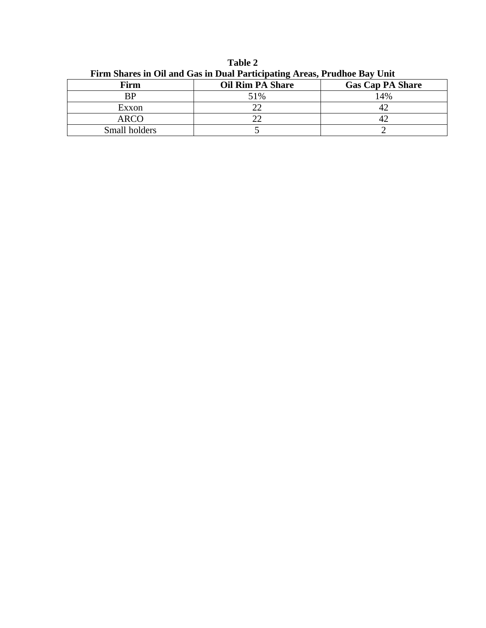| Firm Shares in Oil and Gas in Dual Participating Areas, Prudhoe Bay Unit |                         |                         |  |  |  |  |
|--------------------------------------------------------------------------|-------------------------|-------------------------|--|--|--|--|
| Firm                                                                     | <b>Oil Rim PA Share</b> | <b>Gas Cap PA Share</b> |  |  |  |  |
| ВP                                                                       | 51%                     | 14%                     |  |  |  |  |
| Exxon                                                                    |                         |                         |  |  |  |  |
| <b>ARCO</b>                                                              |                         |                         |  |  |  |  |
| Small holders                                                            |                         |                         |  |  |  |  |

**Table 2 Firm Shares in Oil and Gas in Dual Participating Areas, Prudhoe Bay Unit**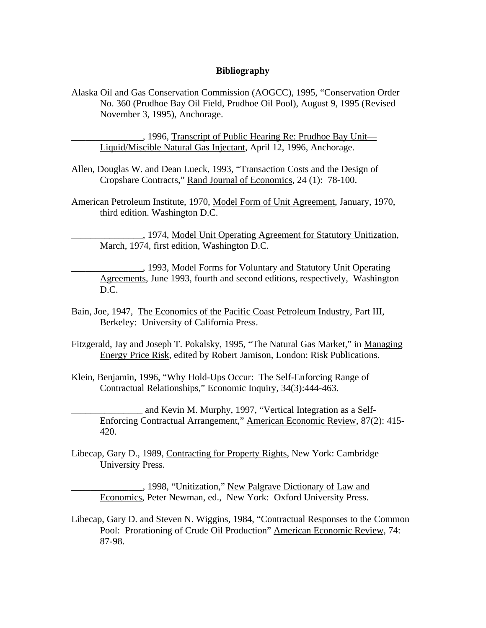## **Bibliography**

Alaska Oil and Gas Conservation Commission (AOGCC), 1995, "Conservation Order No. 360 (Prudhoe Bay Oil Field, Prudhoe Oil Pool), August 9, 1995 (Revised November 3, 1995), Anchorage.

\_\_\_\_\_\_\_\_\_\_\_\_\_\_\_, 1996, Transcript of Public Hearing Re: Prudhoe Bay Unit— Liquid/Miscible Natural Gas Injectant, April 12, 1996, Anchorage.

- Allen, Douglas W. and Dean Lueck, 1993, "Transaction Costs and the Design of Cropshare Contracts," Rand Journal of Economics, 24 (1): 78-100.
- American Petroleum Institute, 1970, Model Form of Unit Agreement, January, 1970, third edition. Washington D.C.

\_\_\_\_\_\_\_\_\_\_\_\_\_\_\_, 1974, Model Unit Operating Agreement for Statutory Unitization, March, 1974, first edition, Washington D.C.

\_\_\_\_\_\_\_\_\_\_\_\_\_\_\_, 1993, Model Forms for Voluntary and Statutory Unit Operating Agreements, June 1993, fourth and second editions, respectively, Washington D.C.

- Bain, Joe, 1947, The Economics of the Pacific Coast Petroleum Industry, Part III, Berkeley: University of California Press.
- Fitzgerald, Jay and Joseph T. Pokalsky, 1995, "The Natural Gas Market," in Managing Energy Price Risk, edited by Robert Jamison, London: Risk Publications.
- Klein, Benjamin, 1996, "Why Hold-Ups Occur: The Self-Enforcing Range of Contractual Relationships," Economic Inquiry, 34(3):444-463.
- \_\_\_\_\_\_\_\_\_\_\_\_\_\_\_ and Kevin M. Murphy, 1997, "Vertical Integration as a Self-Enforcing Contractual Arrangement," American Economic Review, 87(2): 415- 420.
- Libecap, Gary D., 1989, Contracting for Property Rights, New York: Cambridge University Press.

\_\_\_\_\_\_\_\_\_\_\_\_\_\_\_, 1998, "Unitization," New Palgrave Dictionary of Law and Economics, Peter Newman, ed., New York: Oxford University Press.

Libecap, Gary D. and Steven N. Wiggins, 1984, "Contractual Responses to the Common Pool: Prorationing of Crude Oil Production" American Economic Review, 74: 87-98.